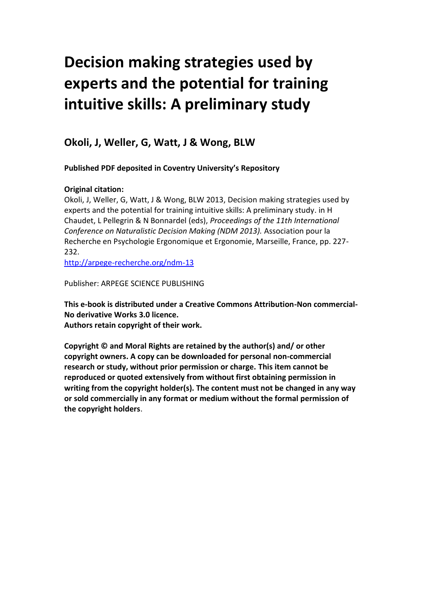# **Decision making strategies used by experts and the potential for training intuitive skills: A preliminary study**

# **Okoli, J, Weller, G, Watt, J & Wong, BLW**

**Published PDF deposited in Coventry University's Repository**

# **Original citation:**

Okoli, J, Weller, G, Watt, J & Wong, BLW 2013, Decision making strategies used by experts and the potential for training intuitive skills: A preliminary study. in H Chaudet, L Pellegrin & N Bonnardel (eds), *Proceedings of the 11th International Conference on Naturalistic Decision Making (NDM 2013).* Association pour la Recherche en Psychologie Ergonomique et Ergonomie, Marseille, France, pp. 227- 232.

<http://arpege-recherche.org/ndm-13>

Publisher: ARPEGE SCIENCE PUBLISHING

**This e-book is distributed under a Creative Commons Attribution-Non commercial-No derivative Works 3.0 licence. Authors retain copyright of their work.**

**Copyright © and Moral Rights are retained by the author(s) and/ or other copyright owners. A copy can be downloaded for personal non-commercial research or study, without prior permission or charge. This item cannot be reproduced or quoted extensively from without first obtaining permission in writing from the copyright holder(s). The content must not be changed in any way or sold commercially in any format or medium without the formal permission of the copyright holders**.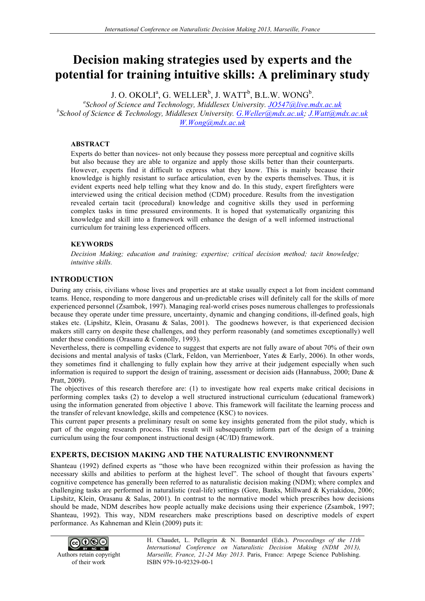# **Decision making strategies used by experts and the potential for training intuitive skills: A preliminary study**

 $J. O. OKOLI<sup>a</sup>, G. WELLER<sup>b</sup>, J. WATT<sup>b</sup>, B.L.W. WONG<sup>b</sup>.$ <br><sup>*a*</sup>School of Science and Technology *Middlessy University*, *JO547@live* n

*School of Science and Technology, Middlesex University. JO547@live.mdx.ac.uk b School of Science & Technology, Middlesex University. G.Weller@mdx.ac.uk; J.Watt@mdx.ac.uk W.Wong@mdx.ac.uk*

#### **ABSTRACT**

Experts do better than novices- not only because they possess more perceptual and cognitive skills but also because they are able to organize and apply those skills better than their counterparts. However, experts find it difficult to express what they know. This is mainly because their knowledge is highly resistant to surface articulation, even by the experts themselves. Thus, it is evident experts need help telling what they know and do. In this study, expert firefighters were interviewed using the critical decision method (CDM) procedure. Results from the investigation revealed certain tacit (procedural) knowledge and cognitive skills they used in performing complex tasks in time pressured environments. It is hoped that systematically organizing this knowledge and skill into a framework will enhance the design of a well informed instructional curriculum for training less experienced officers.

#### **KEYWORDS**

*Decision Making; education and training; expertise; critical decision method; tacit knowledge; intuitive skills.* 

## **INTRODUCTION**

During any crisis, civilians whose lives and properties are at stake usually expect a lot from incident command teams. Hence, responding to more dangerous and un-predictable crises will definitely call for the skills of more experienced personnel (Zsambok, 1997). Managing real-world crises poses numerous challenges to professionals because they operate under time pressure, uncertainty, dynamic and changing conditions, ill-defined goals, high stakes etc. (Lipshitz, Klein, Orasanu & Salas, 2001). The goodnews however, is that experienced decision makers still carry on despite these challenges, and they perform reasonably (and sometimes exceptionally) well under these conditions (Orasanu & Connolly, 1993).

Nevertheless, there is compelling evidence to suggest that experts are not fully aware of about 70% of their own decisions and mental analysis of tasks (Clark, Feldon, van Merrienboer, Yates & Early, 2006). In other words, they sometimes find it challenging to fully explain how they arrive at their judgement especially when such information is required to support the design of training, assessment or decision aids (Hannabuss, 2000; Dane & Pratt, 2009).

The objectives of this research therefore are: (1) to investigate how real experts make critical decisions in performing complex tasks (2) to develop a well structured instructional curriculum (educational framework) using the information generated from objective 1 above. This framework will facilitate the learning process and the transfer of relevant knowledge, skills and competence (KSC) to novices.

This current paper presents a preliminary result on some key insights generated from the pilot study, which is part of the ongoing research process. This result will subsequently inform part of the design of a training curriculum using the four component instructional design (4C/ID) framework.

## **EXPERTS, DECISION MAKING AND THE NATURALISTIC ENVIRONNMENT**

Shanteau (1992) defined experts as "those who have been recognized within their profession as having the necessary skills and abilities to perform at the highest level". The school of thought that favours experts' cognitive competence has generally been referred to as naturalistic decision making (NDM); where complex and challenging tasks are performed in naturalistic (real-life) settings (Gore, Banks, Millward & Kyriakidou, 2006; Lipshitz, Klein, Orasanu & Salas, 2001). In contrast to the normative model which prescribes how decisions should be made, NDM describes how people actually make decisions using their experience (Zsambok, 1997; Shanteau, 1992). This way, NDM researchers make prescriptions based on descriptive models of expert performance. As Kahneman and Klein (2009) puts it:



H. Chaudet, L. Pellegrin & N. Bonnardel (Eds.). *Proceedings of the 11th International Conference on Naturalistic Decision Making (NDM 2013), Marseille, France, 21-24 May 2013*. Paris, France: Arpege Science Publishing. ISBN 979-10-92329-00-1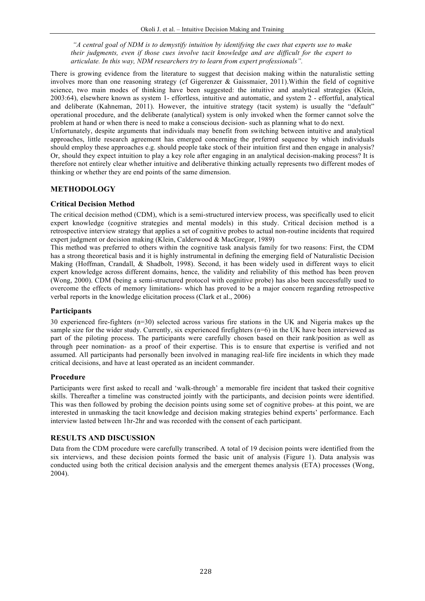*"A central goal of NDM is to demystify intuition by identifying the cues that experts use to make their judgments, even if those cues involve tacit knowledge and are difficult for the expert to articulate. In this way, NDM researchers try to learn from expert professionals".* 

There is growing evidence from the literature to suggest that decision making within the naturalistic setting involves more than one reasoning strategy (cf Gigerenzer & Gaissmaier, 2011).Within the field of cognitive science, two main modes of thinking have been suggested: the intuitive and analytical strategies (Klein, 2003:64), elsewhere known as system 1- effortless, intuitive and automatic, and system 2 - effortful, analytical and deliberate (Kahneman, 2011). However, the intuitive strategy (tacit system) is usually the "default" operational procedure, and the deliberate (analytical) system is only invoked when the former cannot solve the problem at hand or when there is need to make a conscious decision- such as planning what to do next.

Unfortunately, despite arguments that individuals may benefit from switching between intuitive and analytical approaches, little research agreement has emerged concerning the preferred sequence by which individuals should employ these approaches e.g. should people take stock of their intuition first and then engage in analysis? Or, should they expect intuition to play a key role after engaging in an analytical decision-making process? It is therefore not entirely clear whether intuitive and deliberative thinking actually represents two different modes of thinking or whether they are end points of the same dimension.

# **METHODOLOGY**

## **Critical Decision Method**

The critical decision method (CDM), which is a semi-structured interview process, was specifically used to elicit expert knowledge (cognitive strategies and mental models) in this study. Critical decision method is a retrospective interview strategy that applies a set of cognitive probes to actual non-routine incidents that required expert judgment or decision making (Klein, Calderwood & MacGregor, 1989)

This method was preferred to others within the cognitive task analysis family for two reasons: First, the CDM has a strong theoretical basis and it is highly instrumental in defining the emerging field of Naturalistic Decision Making (Hoffman, Crandall, & Shadbolt, 1998). Second, it has been widely used in different ways to elicit expert knowledge across different domains, hence, the validity and reliability of this method has been proven (Wong, 2000). CDM (being a semi-structured protocol with cognitive probe) has also been successfully used to overcome the effects of memory limitations- which has proved to be a major concern regarding retrospective verbal reports in the knowledge elicitation process (Clark et al., 2006)

## **Participants**

30 experienced fire-fighters (n=30) selected across various fire stations in the UK and Nigeria makes up the sample size for the wider study. Currently, six experienced firefighters (n=6) in the UK have been interviewed as part of the piloting process. The participants were carefully chosen based on their rank/position as well as through peer nomination- as a proof of their expertise. This is to ensure that expertise is verified and not assumed. All participants had personally been involved in managing real-life fire incidents in which they made critical decisions, and have at least operated as an incident commander.

## **Procedure**

Participants were first asked to recall and 'walk-through' a memorable fire incident that tasked their cognitive skills. Thereafter a timeline was constructed jointly with the participants, and decision points were identified. This was then followed by probing the decision points using some set of cognitive probes- at this point, we are interested in unmasking the tacit knowledge and decision making strategies behind experts' performance. Each interview lasted between 1hr-2hr and was recorded with the consent of each participant.

## **RESULTS AND DISCUSSION**

Data from the CDM procedure were carefully transcribed. A total of 19 decision points were identified from the six interviews, and these decision points formed the basic unit of analysis (Figure 1). Data analysis was conducted using both the critical decision analysis and the emergent themes analysis (ETA) processes (Wong, 2004).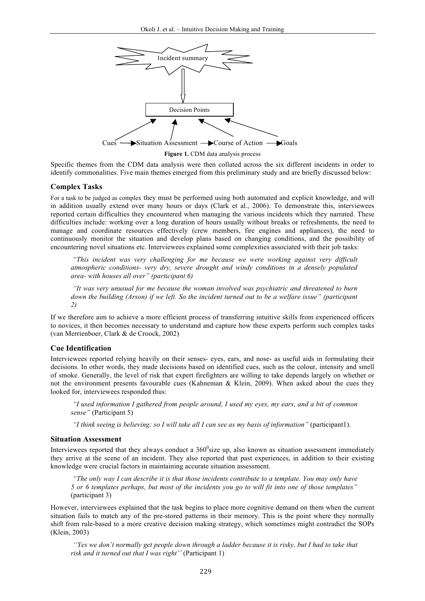

Specific themes from the CDM data analysis were then collated across the six different incidents in order to identify commonalities. Five main themes emerged from this preliminary study and are briefly discussed below:

#### **Complex Tasks**

For a task to be judged as complex they must be performed using both automated and explicit knowledge, and will in addition usually extend over many hours or days (Clark et al., 2006). To demonstrate this, interviewees reported certain difficulties they encountered when managing the various incidents which they narrated. These difficulties include: working over a long duration of hours usually without breaks or refreshments, the need to manage and coordinate resources effectively (crew members, fire engines and appliances), the need to continuously monitor the situation and develop plans based on changing conditions, and the possibility of encountering novel situations etc. Interviewees explained some complexities associated with their job tasks:

*"This incident was very challenging for me because we were working against very difficult atmospheric conditions- very dry, severe drought and windy conditions in a densely populated area- with houses all over" (participant 6)*

*"It was very unusual for me because the woman involved was psychiatric and threatened to burn down the building (Arson) if we left. So the incident turned out to be a welfare issue" (participant 2)* 

If we therefore aim to achieve a more efficient process of transferring intuitive skills from experienced officers to novices, it then becomes necessary to understand and capture how these experts perform such complex tasks (van Merrienboer, Clark & de Croock, 2002)

#### **Cue Identification**

Interviewees reported relying heavily on their senses- eyes, ears, and nose- as useful aids in formulating their decisions. In other words, they made decisions based on identified cues, such as the colour, intensity and smell of smoke. Generally, the level of risk that expert firefighters are willing to take depends largely on whether or not the environment presents favourable cues (Kahneman & Klein, 2009). When asked about the cues they looked for, interviewees responded thus:

*"I used information I gathered from people around, I used my eyes, my ears, and a bit of common sense"* (Participant 5)

*"I think seeing is believing; so I will take all I can see as my basis of information"* (participant1).

#### **Situation Assessment**

Interviewees reported that they always conduct a  $360^\circ$ size up, also known as situation assessment immediately they arrive at the scene of an incident. They also reported that past experiences, in addition to their existing knowledge were crucial factors in maintaining accurate situation assessment.

*"The only way I can describe it is that those incidents contribute to a template. You may only have 5 or 6 templates perhaps, but most of the incidents you go to will fit into one of those templates"* (participant 3)

However, interviewees explained that the task begins to place more cognitive demand on them when the current situation fails to match any of the pre-stored patterns in their memory. This is the point where they normally shift from rule-based to a more creative decision making strategy, which sometimes might contradict the SOPs (Klein, 2003)

*''Yes we don't normally get people down through a ladder because it is risky, but I had to take that risk and it turned out that I was right''* (Participant 1)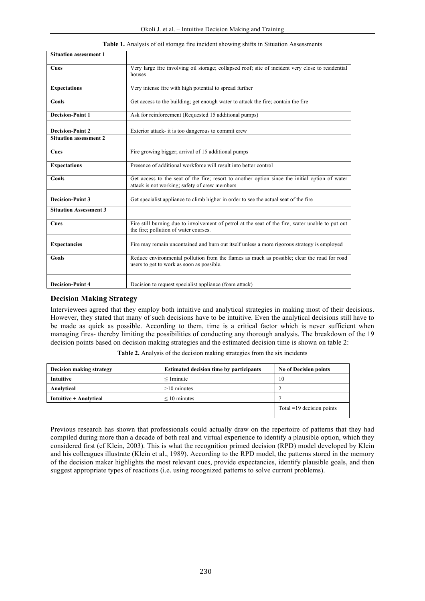| <b>Situation assessment 1</b> |                                                                                                                                                 |
|-------------------------------|-------------------------------------------------------------------------------------------------------------------------------------------------|
| Cues                          | Very large fire involving oil storage; collapsed roof; site of incident very close to residential<br>houses                                     |
| <b>Expectations</b>           | Very intense fire with high potential to spread further                                                                                         |
| Goals                         | Get access to the building; get enough water to attack the fire; contain the fire                                                               |
| <b>Decision-Point 1</b>       | Ask for reinforcement (Requested 15 additional pumps)                                                                                           |
| <b>Decision-Point 2</b>       | Exterior attack- it is too dangerous to commit crew                                                                                             |
| <b>Situation assessment 2</b> |                                                                                                                                                 |
| Cues                          | Fire growing bigger; arrival of 15 additional pumps                                                                                             |
| <b>Expectations</b>           | Presence of additional workforce will result into better control                                                                                |
| Goals                         | Get access to the seat of the fire; resort to another option since the initial option of water<br>attack is not working; safety of crew members |
| <b>Decision-Point 3</b>       | Get specialist appliance to climb higher in order to see the actual seat of the fire                                                            |
| <b>Situation Assessment 3</b> |                                                                                                                                                 |
| Cues                          | Fire still burning due to involvement of petrol at the seat of the fire; water unable to put out<br>the fire; pollution of water courses.       |
| <b>Expectancies</b>           | Fire may remain uncontained and burn out itself unless a more rigorous strategy is employed                                                     |
| Goals                         | Reduce environmental pollution from the flames as much as possible; clear the road for road<br>users to get to work as soon as possible.        |
| <b>Decision-Point 4</b>       | Decision to request specialist appliance (foam attack)                                                                                          |

#### **Table 1.** Analysis of oil storage fire incident showing shifts in Situation Assessments

#### **Decision Making Strategy**

Interviewees agreed that they employ both intuitive and analytical strategies in making most of their decisions. However, they stated that many of such decisions have to be intuitive. Even the analytical decisions still have to be made as quick as possible. According to them, time is a critical factor which is never sufficient when managing fires- thereby limiting the possibilities of conducting any thorough analysis. The breakdown of the 19 decision points based on decision making strategies and the estimated decision time is shown on table 2:

| Decision making strategy | <b>Estimated decision time by participants</b> | <b>No of Decision points</b> |
|--------------------------|------------------------------------------------|------------------------------|
| <b>Intuitive</b>         | $\leq$ 1 minute                                | 10                           |
| Analytical               | $>10$ minutes                                  |                              |
| Intuitive + Analytical   | $\leq 10$ minutes                              |                              |
|                          |                                                | Total $=19$ decision points  |

**Table 2.** Analysis of the decision making strategies from the six incidents

Previous research has shown that professionals could actually draw on the repertoire of patterns that they had compiled during more than a decade of both real and virtual experience to identify a plausible option, which they considered first (cf Klein, 2003). This is what the recognition primed decision (RPD) model developed by Klein and his colleagues illustrate (Klein et al., 1989). According to the RPD model, the patterns stored in the memory of the decision maker highlights the most relevant cues, provide expectancies, identify plausible goals, and then suggest appropriate types of reactions (i.e. using recognized patterns to solve current problems).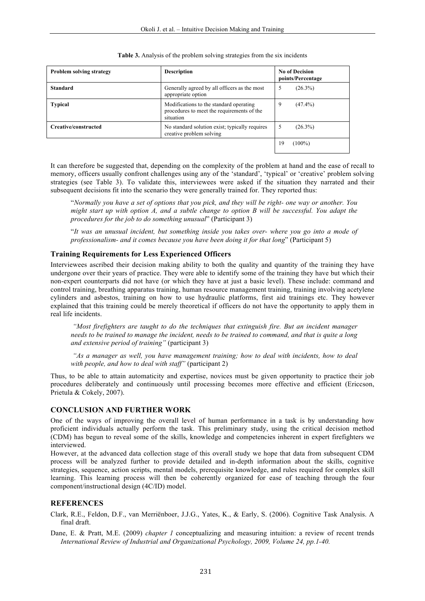| <b>Problem solving strategy</b> | <b>Description</b>                                                                                 | <b>No of Decision</b><br>points/Percentage |
|---------------------------------|----------------------------------------------------------------------------------------------------|--------------------------------------------|
| <b>Standard</b>                 | Generally agreed by all officers as the most<br>appropriate option                                 | 5<br>$(26.3\%)$                            |
| <b>Typical</b>                  | Modifications to the standard operating<br>procedures to meet the requirements of the<br>situation | 9<br>$(47.4\%)$                            |
| Creative/constructed            | No standard solution exist; typically requires<br>creative problem solving                         | $(26.3\%)$<br>$\mathcal{D}$                |
|                                 |                                                                                                    | 19<br>$(100\%)$                            |

#### **Table 3.** Analysis of the problem solving strategies from the six incidents

It can therefore be suggested that, depending on the complexity of the problem at hand and the ease of recall to memory, officers usually confront challenges using any of the 'standard', 'typical' or 'creative' problem solving strategies (see Table 3). To validate this, interviewees were asked if the situation they narrated and their subsequent decisions fit into the scenario they were generally trained for. They reported thus:

"*Normally you have a set of options that you pick, and they will be right- one way or another. You might start up with option A, and a subtle change to option B will be successful. You adapt the procedures for the job to do something unusual*" (Participant 3)

"*It was an unusual incident, but something inside you takes over- where you go into a mode of professionalism- and it comes because you have been doing it for that long*" (Participant 5)

#### **Training Requirements for Less Experienced Officers**

Interviewees ascribed their decision making ability to both the quality and quantity of the training they have undergone over their years of practice. They were able to identify some of the training they have but which their non-expert counterparts did not have (or which they have at just a basic level). These include: command and control training, breathing apparatus training, human resource management training, training involving acetylene cylinders and asbestos, training on how to use hydraulic platforms, first aid trainings etc. They however explained that this training could be merely theoretical if officers do not have the opportunity to apply them in real life incidents.

*"Most firefighters are taught to do the techniques that extinguish fire. But an incident manager needs to be trained to manage the incident, needs to be trained to command, and that is quite a long and extensive period of training"* (participant 3)

*"As a manager as well, you have management training; how to deal with incidents, how to deal with people, and how to deal with staff"* (participant 2)

Thus, to be able to attain automaticity and expertise, novices must be given opportunity to practice their job procedures deliberately and continuously until processing becomes more effective and efficient (Ericcson, Prietula & Cokely, 2007).

#### **CONCLUSION AND FURTHER WORK**

One of the ways of improving the overall level of human performance in a task is by understanding how proficient individuals actually perform the task. This preliminary study, using the critical decision method (CDM) has begun to reveal some of the skills, knowledge and competencies inherent in expert firefighters we interviewed.

However, at the advanced data collection stage of this overall study we hope that data from subsequent CDM process will be analyzed further to provide detailed and in-depth information about the skills, cognitive strategies, sequence, action scripts, mental models, prerequisite knowledge, and rules required for complex skill learning. This learning process will then be coherently organized for ease of teaching through the four component/instructional design (4C/ID) model.

## **REFERENCES**

Clark, R.E., Feldon, D.F., van Merriënboer, J.J.G., Yates, K., & Early, S. (2006). Cognitive Task Analysis. A final draft.

Dane, E. & Pratt, M.E. (2009) *chapter 1* conceptualizing and measuring intuition: a review of recent trends *International Review of Industrial and Organizational Psychology, 2009, Volume 24, pp.1-40.*